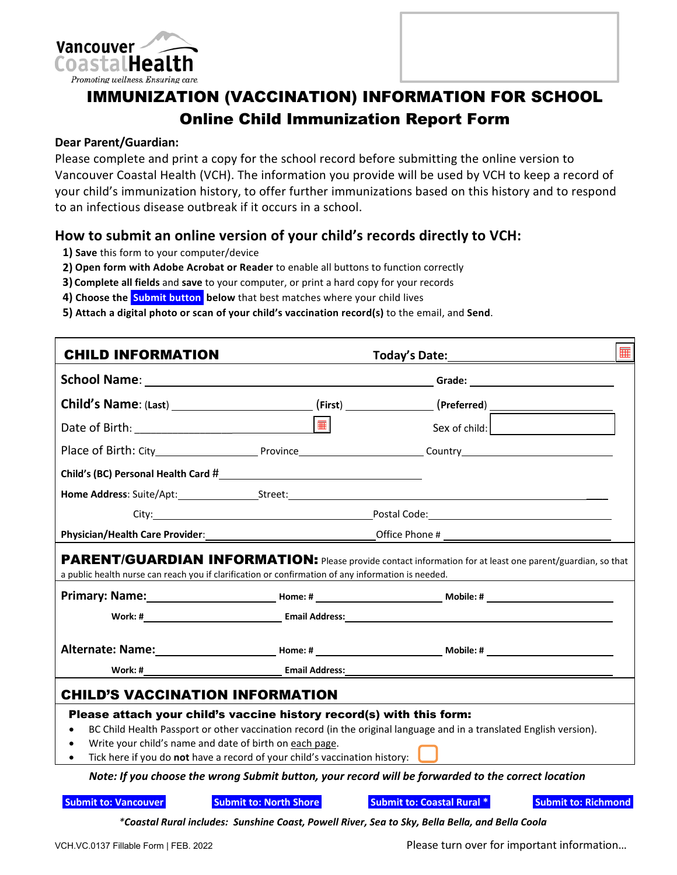



## **Dear Parent/Guardian:**

Please complete and print a copy for the school record before submitting the online version to Vancouver Coastal Health (VCH). The information you provide will be used by VCH to keep a record of your child's immunization history, to offer further immunizations based on this history and to respond to an infectious disease outbreak if it occurs in a school.

## **How to submit an online version of your child's records directly to VCH:**

- **1) Save** this form to your computer/device
- **2) Open form with Adobe Acrobat or Reader** to enable all buttons to function correctly
- **3) Complete all fields** and **save** to your computer, or print a hard copy for your records
- 4) Choose the **Submit button** below that best matches where your child lives
- **5) Attach a digital photo or scan of your child's vaccination record(s)** to the email, and **Send**.

| <b>CHILD INFORMATION</b>                                                                                                                                                                                                                       |                               |                                                                                                                      |  |  |  |  |  |  |  |
|------------------------------------------------------------------------------------------------------------------------------------------------------------------------------------------------------------------------------------------------|-------------------------------|----------------------------------------------------------------------------------------------------------------------|--|--|--|--|--|--|--|
|                                                                                                                                                                                                                                                |                               |                                                                                                                      |  |  |  |  |  |  |  |
|                                                                                                                                                                                                                                                |                               |                                                                                                                      |  |  |  |  |  |  |  |
|                                                                                                                                                                                                                                                | $\overline{\mathbf{m}}$       | Sex of child:                                                                                                        |  |  |  |  |  |  |  |
|                                                                                                                                                                                                                                                |                               |                                                                                                                      |  |  |  |  |  |  |  |
|                                                                                                                                                                                                                                                |                               |                                                                                                                      |  |  |  |  |  |  |  |
|                                                                                                                                                                                                                                                |                               | <b>Home Address:</b> Suite/Apt: Street: Street:                                                                      |  |  |  |  |  |  |  |
|                                                                                                                                                                                                                                                |                               |                                                                                                                      |  |  |  |  |  |  |  |
|                                                                                                                                                                                                                                                |                               |                                                                                                                      |  |  |  |  |  |  |  |
| PARENT/GUARDIAN INFORMATION: Please provide contact information for at least one parent/guardian, so that<br>a public health nurse can reach you if clarification or confirmation of any information is needed.                                |                               |                                                                                                                      |  |  |  |  |  |  |  |
|                                                                                                                                                                                                                                                |                               |                                                                                                                      |  |  |  |  |  |  |  |
|                                                                                                                                                                                                                                                |                               |                                                                                                                      |  |  |  |  |  |  |  |
|                                                                                                                                                                                                                                                |                               |                                                                                                                      |  |  |  |  |  |  |  |
|                                                                                                                                                                                                                                                |                               |                                                                                                                      |  |  |  |  |  |  |  |
| <b>CHILD'S VACCINATION INFORMATION</b>                                                                                                                                                                                                         |                               |                                                                                                                      |  |  |  |  |  |  |  |
| Please attach your child's vaccine history record(s) with this form:<br>$\bullet$<br>Write your child's name and date of birth on each page.<br>Tick here if you do not have a record of your child's vaccination history: $\int$<br>$\bullet$ |                               | BC Child Health Passport or other vaccination record (in the original language and in a translated English version). |  |  |  |  |  |  |  |
| Note: If you choose the wrong Submit button, your record will be forwarded to the correct location                                                                                                                                             |                               |                                                                                                                      |  |  |  |  |  |  |  |
| <b>Submit to: Vancouver</b>                                                                                                                                                                                                                    | <b>Submit to: North Shore</b> | <b>Submit to: Coastal Rural *</b><br><b>Submit to: Richmond</b>                                                      |  |  |  |  |  |  |  |
|                                                                                                                                                                                                                                                |                               | *Coastal Rural includes: Sunshine Coast, Powell River, Sea to Sky, Bella Bella, and Bella Coola                      |  |  |  |  |  |  |  |

VCH.VC.0137 Fillable Form | FEB. 2022 Please turn over for important information…